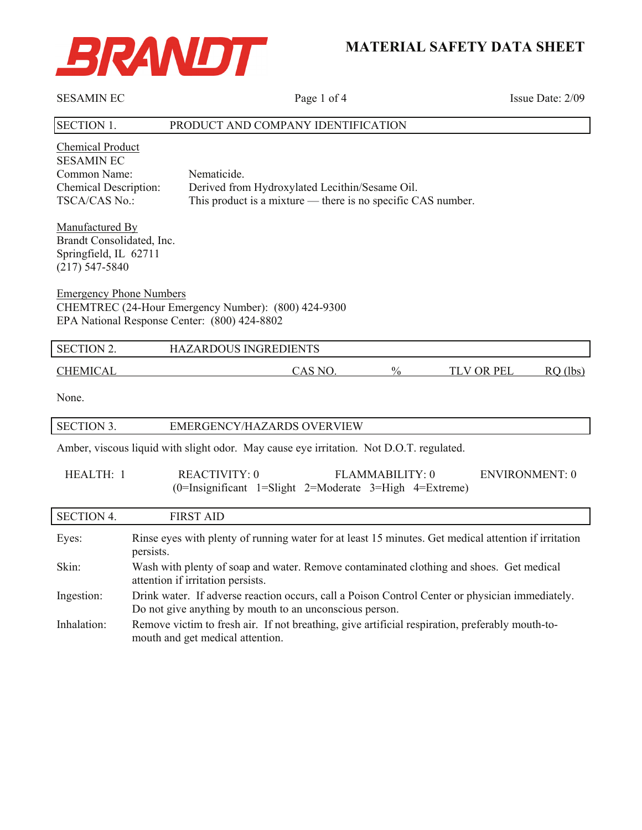

# **MATERIAL SAFETY DATA SHEET**

| <b>SESAMIN EC</b>                                                                                                                       | Page 1 of 4                                                                                                                                                | Issue Date: 2/09                |  |
|-----------------------------------------------------------------------------------------------------------------------------------------|------------------------------------------------------------------------------------------------------------------------------------------------------------|---------------------------------|--|
| <b>SECTION 1.</b>                                                                                                                       | PRODUCT AND COMPANY IDENTIFICATION                                                                                                                         |                                 |  |
| <b>Chemical Product</b><br><b>SESAMIN EC</b><br>Common Name:<br>Chemical Description:<br><b>TSCA/CAS No.:</b>                           | Nematicide.<br>Derived from Hydroxylated Lecithin/Sesame Oil.<br>This product is a mixture — there is no specific CAS number.                              |                                 |  |
| Manufactured By<br>Brandt Consolidated, Inc.<br>Springfield, IL 62711<br>$(217) 547 - 5840$                                             |                                                                                                                                                            |                                 |  |
| <b>Emergency Phone Numbers</b><br>CHEMTREC (24-Hour Emergency Number): (800) 424-9300<br>EPA National Response Center: (800) 424-8802   |                                                                                                                                                            |                                 |  |
| <b>SECTION 2.</b>                                                                                                                       | HAZARDOUS INGREDIENTS                                                                                                                                      |                                 |  |
| <b>CHEMICAL</b>                                                                                                                         | $\frac{0}{0}$<br>CAS NO.                                                                                                                                   | <b>TLV OR PEL</b><br>$RO$ (lbs) |  |
| None.                                                                                                                                   |                                                                                                                                                            |                                 |  |
| <b>SECTION 3.</b>                                                                                                                       | EMERGENCY/HAZARDS OVERVIEW                                                                                                                                 |                                 |  |
|                                                                                                                                         | Amber, viscous liquid with slight odor. May cause eye irritation. Not D.O.T. regulated.                                                                    |                                 |  |
| <b>REACTIVITY: 0</b><br>HEALTH: 1<br>FLAMMABILITY: 0<br><b>ENVIRONMENT: 0</b><br>(0=Insignificant 1=Slight 2=Moderate 3=High 4=Extreme) |                                                                                                                                                            |                                 |  |
| <b>SECTION 4.</b>                                                                                                                       | <b>FIRST AID</b>                                                                                                                                           |                                 |  |
| Eyes:                                                                                                                                   | Rinse eyes with plenty of running water for at least 15 minutes. Get medical attention if irritation<br>persists.                                          |                                 |  |
| Skin:                                                                                                                                   | Wash with plenty of soap and water. Remove contaminated clothing and shoes. Get medical<br>attention if irritation persists.                               |                                 |  |
| Ingestion:                                                                                                                              | Drink water. If adverse reaction occurs, call a Poison Control Center or physician immediately.<br>Do not give anything by mouth to an unconscious person. |                                 |  |
| Inhalation:                                                                                                                             | Remove victim to fresh air. If not breathing, give artificial respiration, preferably mouth-to-<br>mouth and get medical attention.                        |                                 |  |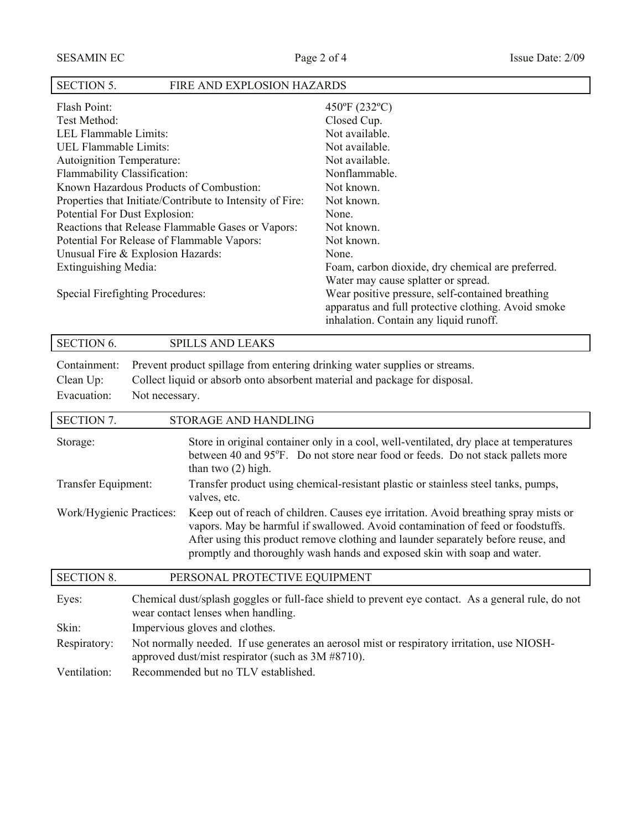### SECTION 5. FIRE AND EXPLOSION HAZARDS

| Flash Point:                                              | $450^{\circ}$ F (232°C)                                                                                                                           |
|-----------------------------------------------------------|---------------------------------------------------------------------------------------------------------------------------------------------------|
| Test Method:                                              | Closed Cup.                                                                                                                                       |
| LEL Flammable Limits:                                     | Not available.                                                                                                                                    |
| UEL Flammable Limits:                                     | Not available.                                                                                                                                    |
| <b>Autoignition Temperature:</b>                          | Not available.                                                                                                                                    |
| Flammability Classification:                              | Nonflammable.                                                                                                                                     |
| Known Hazardous Products of Combustion:                   | Not known.                                                                                                                                        |
| Properties that Initiate/Contribute to Intensity of Fire: | Not known.                                                                                                                                        |
| Potential For Dust Explosion:                             | None.                                                                                                                                             |
| Reactions that Release Flammable Gases or Vapors:         | Not known.                                                                                                                                        |
| Potential For Release of Flammable Vapors:                | Not known.                                                                                                                                        |
| Unusual Fire & Explosion Hazards:                         | None.                                                                                                                                             |
| Extinguishing Media:                                      | Foam, carbon dioxide, dry chemical are preferred.                                                                                                 |
|                                                           | Water may cause splatter or spread.                                                                                                               |
| Special Firefighting Procedures:                          | Wear positive pressure, self-contained breathing<br>apparatus and full protective clothing. Avoid smoke<br>inhalation. Contain any liquid runoff. |

## SECTION 6. SPILLS AND LEAKS

|             | Containment: Prevent product spillage from entering drinking water supplies or streams. |
|-------------|-----------------------------------------------------------------------------------------|
| Clean Up:   | Collect liquid or absorb onto absorbent material and package for disposal.              |
| Evacuation: | Not necessary.                                                                          |

| <b>SECTION 7.</b>        |                                                                                                                                          | STORAGE AND HANDLING                                                                                                                                                                                                                                                                                                                     |  |
|--------------------------|------------------------------------------------------------------------------------------------------------------------------------------|------------------------------------------------------------------------------------------------------------------------------------------------------------------------------------------------------------------------------------------------------------------------------------------------------------------------------------------|--|
| Storage:                 |                                                                                                                                          | Store in original container only in a cool, well-ventilated, dry place at temperatures<br>between 40 and 95°F. Do not store near food or feeds. Do not stack pallets more<br>than two $(2)$ high.                                                                                                                                        |  |
| Transfer Equipment:      |                                                                                                                                          | Transfer product using chemical-resistant plastic or stainless steel tanks, pumps,<br>valves, etc.                                                                                                                                                                                                                                       |  |
| Work/Hygienic Practices: |                                                                                                                                          | Keep out of reach of children. Causes eye irritation. Avoid breathing spray mists or<br>vapors. May be harmful if swallowed. Avoid contamination of feed or foodstuffs.<br>After using this product remove clothing and launder separately before reuse, and<br>promptly and thoroughly wash hands and exposed skin with soap and water. |  |
| <b>SECTION 8.</b>        |                                                                                                                                          | PERSONAL PROTECTIVE EQUIPMENT                                                                                                                                                                                                                                                                                                            |  |
| Eyes:                    | Chemical dust/splash goggles or full-face shield to prevent eye contact. As a general rule, do not<br>wear contact lenses when handling. |                                                                                                                                                                                                                                                                                                                                          |  |
| Skin:                    | Impervious gloves and clothes.                                                                                                           |                                                                                                                                                                                                                                                                                                                                          |  |
| Respiratory:             | Not normally needed. If use generates an aerosol mist or respiratory irritation, use NIOSH-                                              |                                                                                                                                                                                                                                                                                                                                          |  |

- approved dust/mist respirator (such as 3M #8710).
- Ventilation: Recommended but no TLV established.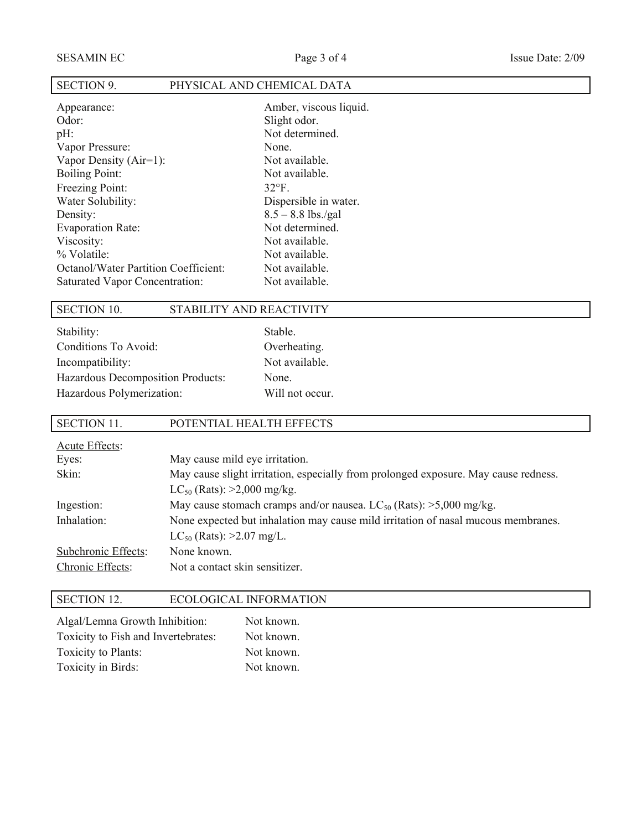| <b>SECTION 9.</b>                           | PHYSICAL AND CHEMICAL DATA |
|---------------------------------------------|----------------------------|
| Appearance:                                 | Amber, viscous liquid.     |
| Odor:                                       | Slight odor.               |
| $pH$ :                                      | Not determined.            |
| Vapor Pressure:                             | None.                      |
| Vapor Density $(Air=1)$ :                   | Not available.             |
| Boiling Point:                              | Not available.             |
| Freezing Point:                             | $32^{\circ}F$ .            |
| Water Solubility:                           | Dispersible in water.      |
| Density:                                    | $8.5 - 8.8$ lbs./gal       |
| <b>Evaporation Rate:</b>                    | Not determined.            |
| Viscosity:                                  | Not available.             |
| % Volatile:                                 | Not available.             |
| <b>Octanol/Water Partition Coefficient:</b> | Not available.             |

Stable. Overheating. Not available.

None.

Will not occur.

### SECTION 10. STABILITY AND REACTIVITY

Saturated Vapor Concentration: Not available.

| Stability:                        |
|-----------------------------------|
| Conditions To Avoid:              |
| Incompatibility:                  |
| Hazardous Decomposition Products: |
| Hazardous Polymerization:         |

## SECTION 11. POTENTIAL HEALTH EFFECTS Acute Effects: Eyes: May cause mild eye irritation. Skin: May cause slight irritation, especially from prolonged exposure. May cause redness.  $LC_{50}$  (Rats): >2,000 mg/kg. Ingestion: May cause stomach cramps and/or nausea.  $LC_{50}$  (Rats):  $>5,000$  mg/kg. Inhalation: None expected but inhalation may cause mild irritation of nasal mucous membranes.  $LC_{50}$  (Rats): >2.07 mg/L. Subchronic Effects: None known. Chronic Effects: Not a contact skin sensitizer.

#### SECTION 12. ECOLOGICAL INFORMATION

| Algal/Lemna Growth Inhibition:      | Not known. |  |
|-------------------------------------|------------|--|
| Toxicity to Fish and Invertebrates: | Not known. |  |
| Toxicity to Plants:                 | Not known. |  |
| Toxicity in Birds:                  | Not known. |  |